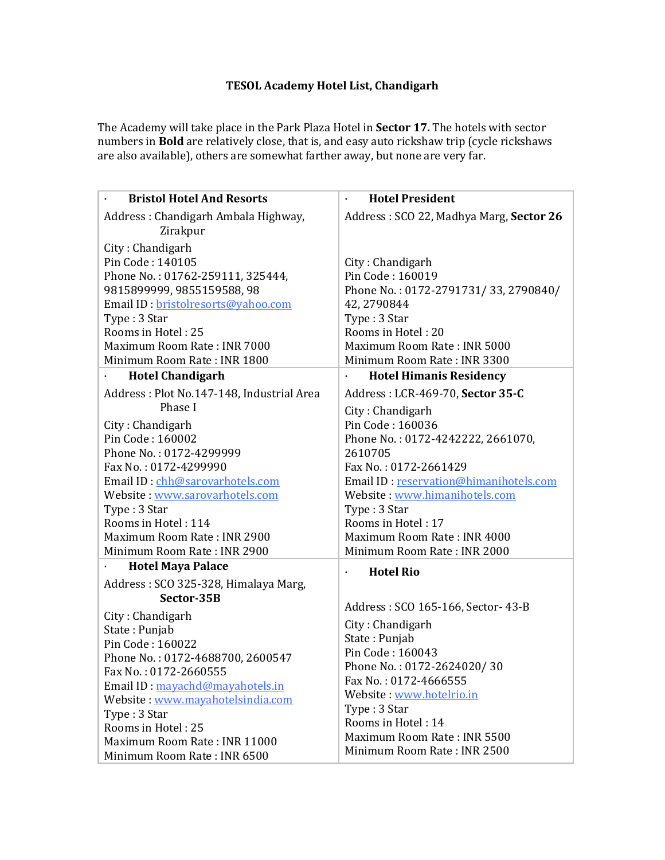## **TESOL Academy Hotel List, Chandigarh**

The Academy will take place in the Park Plaza Hotel in **Sector 17.** The hotels with sector numbers in **Bold** are relatively close, that is, and easy auto rickshaw trip (cycle rickshaws are also available), others are somewhat farther away, but none are very far.

| <b>Bristol Hotel And Resorts</b>                                                                                                                                                                                                                                                                                           | <b>Hotel President</b>                                                                                                                                                                                                                                                                                                           |
|----------------------------------------------------------------------------------------------------------------------------------------------------------------------------------------------------------------------------------------------------------------------------------------------------------------------------|----------------------------------------------------------------------------------------------------------------------------------------------------------------------------------------------------------------------------------------------------------------------------------------------------------------------------------|
| Address: Chandigarh Ambala Highway,<br>Zirakpur                                                                                                                                                                                                                                                                            | Address: SCO 22, Madhya Marg, Sector 26                                                                                                                                                                                                                                                                                          |
| City: Chandigarh<br>Pin Code: 140105<br>Phone No.: 01762-259111, 325444,<br>9815899999, 9855159588, 98<br>Email ID: bristolresorts@yahoo.com<br>Type: 3 Star<br>Rooms in Hotel: 25<br>Maximum Room Rate: INR 7000<br>Minimum Room Rate: INR 1800                                                                           | City: Chandigarh<br>Pin Code: 160019<br>Phone No.: 0172-2791731/33, 2790840/<br>42, 2790844<br>Type: 3 Star<br>Rooms in Hotel: 20<br>Maximum Room Rate: INR 5000<br>Minimum Room Rate: INR 3300                                                                                                                                  |
| <b>Hotel Chandigarh</b>                                                                                                                                                                                                                                                                                                    | <b>Hotel Himanis Residency</b><br>$\ddot{\phantom{0}}$                                                                                                                                                                                                                                                                           |
| Address: Plot No.147-148, Industrial Area<br>Phase I<br>City: Chandigarh<br>Pin Code: 160002<br>Phone No.: 0172-4299999<br>Fax No.: 0172-4299990<br>Email ID: chh@sarovarhotels.com<br>Website: www.sarovarhotels.com<br>Type: 3 Star<br>Rooms in Hotel: 114<br>Maximum Room Rate: INR 2900<br>Minimum Room Rate: INR 2900 | Address: LCR-469-70, Sector 35-C<br>City: Chandigarh<br>Pin Code: 160036<br>Phone No.: 0172-4242222, 2661070,<br>2610705<br>Fax No.: 0172-2661429<br>Email ID: reservation@himanihotels.com<br>Website: www.himanihotels.com<br>Type: 3 Star<br>Rooms in Hotel: 17<br>Maximum Room Rate: INR 4000<br>Minimum Room Rate: INR 2000 |
| <b>Hotel Maya Palace</b>                                                                                                                                                                                                                                                                                                   | <b>Hotel Rio</b><br>$\bullet$                                                                                                                                                                                                                                                                                                    |
| Address: SCO 325-328, Himalaya Marg,<br>Sector-35B                                                                                                                                                                                                                                                                         | Address: SCO 165-166, Sector- 43-B                                                                                                                                                                                                                                                                                               |
| City: Chandigarh<br>State: Punjab<br>Pin Code: 160022<br>Phone No.: 0172-4688700, 2600547<br>Fax No.: 0172-2660555<br>Email ID: mayachd@mayahotels.in<br>Website: www.mayahotelsindia.com<br>Type: 3 Star<br>Rooms in Hotel: 25<br>Maximum Room Rate: INR 11000<br>Minimum Room Rate: INR 6500                             | City: Chandigarh<br>State: Punjab<br>Pin Code: 160043<br>Phone No.: 0172-2624020/30<br>Fax No.: 0172-4666555<br>Website: www.hotelrio.in<br>Type: 3 Star<br>Rooms in Hotel: 14<br>Maximum Room Rate: INR 5500<br>Minimum Room Rate: INR 2500                                                                                     |